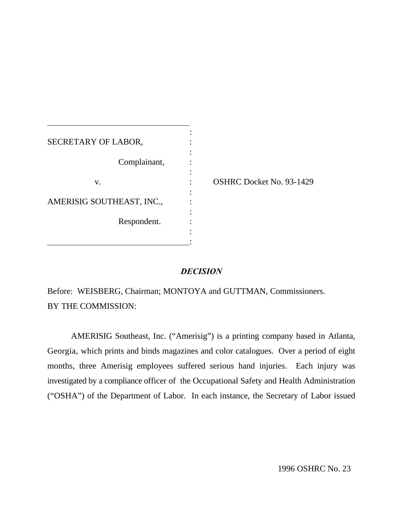| SECRETARY OF LABOR,       |                                 |
|---------------------------|---------------------------------|
| Complainant,              |                                 |
| V.                        | <b>OSHRC Docket No. 93-1429</b> |
| AMERISIG SOUTHEAST, INC., |                                 |
| Respondent.               |                                 |
|                           |                                 |

## *DECISION*

Before: WEISBERG, Chairman; MONTOYA and GUTTMAN, Commissioners. BY THE COMMISSION:

AMERISIG Southeast, Inc. ("Amerisig") is a printing company based in Atlanta, Georgia, which prints and binds magazines and color catalogues. Over a period of eight months, three Amerisig employees suffered serious hand injuries. Each injury was investigated by a compliance officer of the Occupational Safety and Health Administration ("OSHA") of the Department of Labor. In each instance, the Secretary of Labor issued

1996 OSHRC No. 23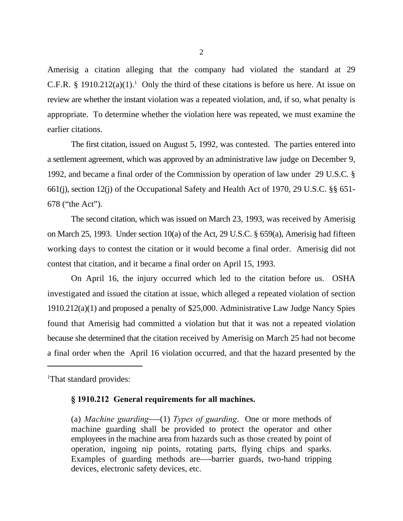Amerisig a citation alleging that the company had violated the standard at 29 C.F.R. § 1910.212(a)(1).<sup>1</sup> Only the third of these citations is before us here. At issue on review are whether the instant violation was a repeated violation, and, if so, what penalty is appropriate. To determine whether the violation here was repeated, we must examine the earlier citations.

The first citation, issued on August 5, 1992, was contested. The parties entered into a settlement agreement, which was approved by an administrative law judge on December 9, 1992, and became a final order of the Commission by operation of law under 29 U.S.C. § 661(j), section 12(j) of the Occupational Safety and Health Act of 1970, 29 U.S.C. §§ 651- 678 ("the Act").

The second citation, which was issued on March 23, 1993, was received by Amerisig on March 25, 1993. Under section 10(a) of the Act, 29 U.S.C. § 659(a), Amerisig had fifteen working days to contest the citation or it would become a final order. Amerisig did not contest that citation, and it became a final order on April 15, 1993.

On April 16, the injury occurred which led to the citation before us. OSHA investigated and issued the citation at issue, which alleged a repeated violation of section 1910.212(a)(1) and proposed a penalty of \$25,000. Administrative Law Judge Nancy Spies found that Amerisig had committed a violation but that it was not a repeated violation because she determined that the citation received by Amerisig on March 25 had not become a final order when the April 16 violation occurred, and that the hazard presented by the

<sup>1</sup>That standard provides:

## **§ 1910.212 General requirements for all machines.**

(a) *Machine guarding*—-(1) *Types of guarding*. One or more methods of machine guarding shall be provided to protect the operator and other employees in the machine area from hazards such as those created by point of operation, ingoing nip points, rotating parts, flying chips and sparks. Examples of guarding methods are—-barrier guards, two-hand tripping devices, electronic safety devices, etc.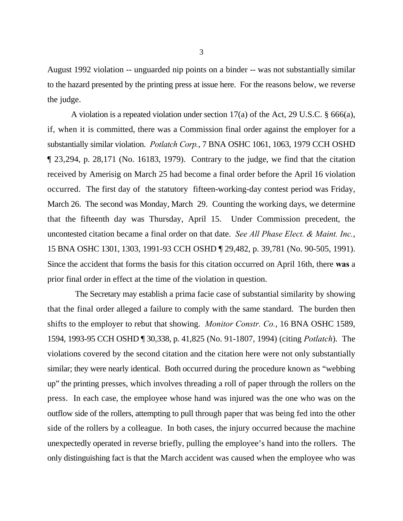August 1992 violation -- unguarded nip points on a binder -- was not substantially similar to the hazard presented by the printing press at issue here. For the reasons below, we reverse the judge.

A violation is a repeated violation under section 17(a) of the Act, 29 U.S.C. § 666(a), if, when it is committed, there was a Commission final order against the employer for a substantially similar violation. *Potlatch Corp.*, 7 BNA OSHC 1061, 1063, 1979 CCH OSHD ¶ 23,294, p. 28,171 (No. 16183, 1979). Contrary to the judge, we find that the citation received by Amerisig on March 25 had become a final order before the April 16 violation occurred. The first day of the statutory fifteen-working-day contest period was Friday, March 26. The second was Monday, March 29. Counting the working days, we determine that the fifteenth day was Thursday, April 15. Under Commission precedent, the uncontested citation became a final order on that date. *See All Phase Elect. & Maint. Inc.*, 15 BNA OSHC 1301, 1303, 1991-93 CCH OSHD ¶ 29,482, p. 39,781 (No. 90-505, 1991). Since the accident that forms the basis for this citation occurred on April 16th, there **was** a prior final order in effect at the time of the violation in question.

 The Secretary may establish a prima facie case of substantial similarity by showing that the final order alleged a failure to comply with the same standard. The burden then shifts to the employer to rebut that showing. *Monitor Constr. Co.*, 16 BNA OSHC 1589, 1594, 1993-95 CCH OSHD ¶ 30,338, p. 41,825 (No. 91-1807, 1994) (citing *Potlatch*). The violations covered by the second citation and the citation here were not only substantially similar; they were nearly identical. Both occurred during the procedure known as "webbing up" the printing presses, which involves threading a roll of paper through the rollers on the press. In each case, the employee whose hand was injured was the one who was on the outflow side of the rollers, attempting to pull through paper that was being fed into the other side of the rollers by a colleague. In both cases, the injury occurred because the machine unexpectedly operated in reverse briefly, pulling the employee's hand into the rollers. The only distinguishing fact is that the March accident was caused when the employee who was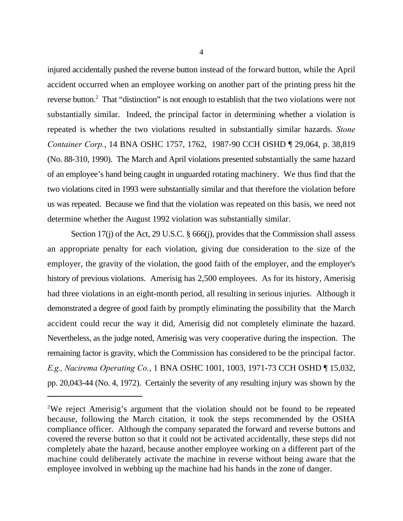injured accidentally pushed the reverse button instead of the forward button, while the April accident occurred when an employee working on another part of the printing press hit the reverse button. $\alpha$  That "distinction" is not enough to establish that the two violations were not substantially similar. Indeed, the principal factor in determining whether a violation is repeated is whether the two violations resulted in substantially similar hazards. *Stone Container Corp.*, 14 BNA OSHC 1757, 1762, 1987-90 CCH OSHD ¶ 29,064, p. 38,819 (No. 88-310, 1990). The March and April violations presented substantially the same hazard of an employee's hand being caught in unguarded rotating machinery. We thus find that the two violations cited in 1993 were substantially similar and that therefore the violation before us was repeated. Because we find that the violation was repeated on this basis, we need not determine whether the August 1992 violation was substantially similar.

Section 17(j) of the Act, 29 U.S.C. § 666(j), provides that the Commission shall assess an appropriate penalty for each violation, giving due consideration to the size of the employer, the gravity of the violation, the good faith of the employer, and the employer's history of previous violations. Amerisig has 2,500 employees. As for its history, Amerisig had three violations in an eight-month period, all resulting in serious injuries. Although it demonstrated a degree of good faith by promptly eliminating the possibility that the March accident could recur the way it did, Amerisig did not completely eliminate the hazard. Nevertheless, as the judge noted, Amerisig was very cooperative during the inspection. The remaining factor is gravity, which the Commission has considered to be the principal factor. *E.g., Nacirema Operating Co.*, 1 BNA OSHC 1001, 1003, 1971-73 CCH OSHD ¶ 15,032, pp. 20,043-44 (No. 4, 1972). Certainly the severity of any resulting injury was shown by the

<sup>&</sup>lt;sup>2</sup>We reject Amerisig's argument that the violation should not be found to be repeated because, following the March citation, it took the steps recommended by the OSHA compliance officer. Although the company separated the forward and reverse buttons and covered the reverse button so that it could not be activated accidentally, these steps did not completely abate the hazard, because another employee working on a different part of the machine could deliberately activate the machine in reverse without being aware that the employee involved in webbing up the machine had his hands in the zone of danger.